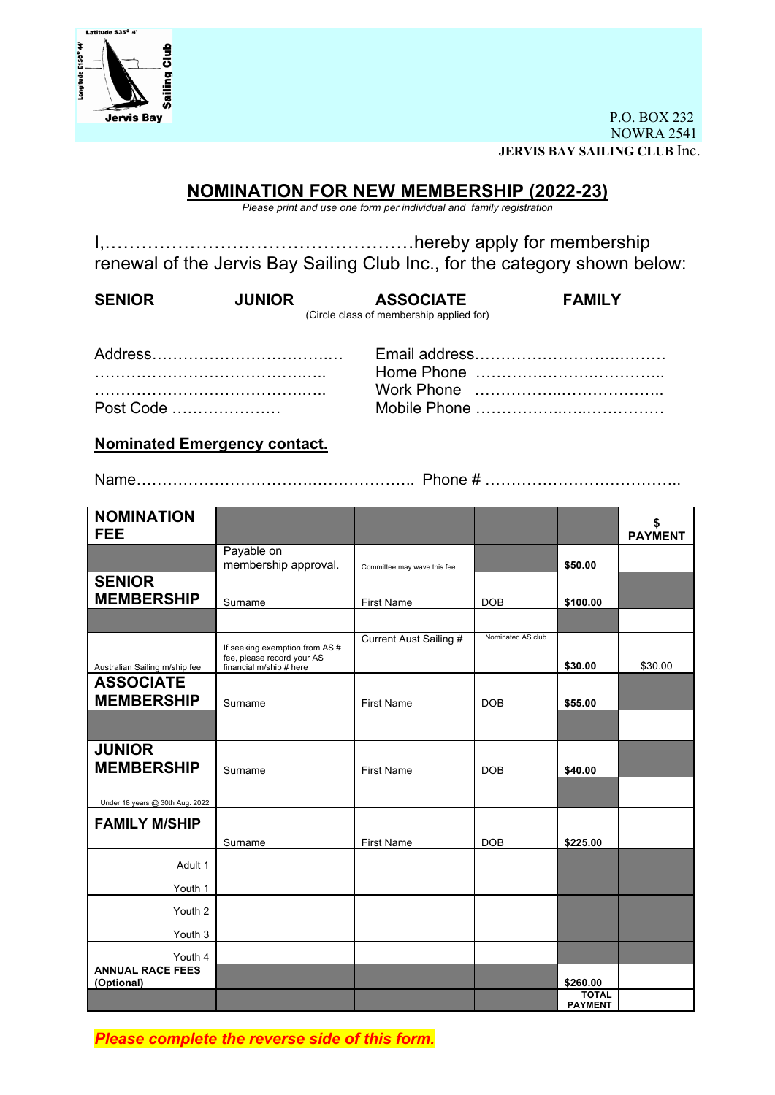

P.O. BOX 232 NOWRA 2541 **JERVIS BAY SAILING CLUB** Inc.

# **NOMINATION FOR NEW MEMBERSHIP (2022-23)**

*Please print and use one form per individual and family registration*

I,……………………………………………hereby apply for membership renewal of the Jervis Bay Sailing Club Inc., for the category shown below:

| <b>SENIOR</b> | <b>JUNIOR</b> | <b>ASSOCIATE</b>                         | <b>FAMILY</b> |
|---------------|---------------|------------------------------------------|---------------|
|               |               | (Circle class of membership applied for) |               |
|               |               |                                          |               |

| Post Code |  |
|-----------|--|

| Post Code |  |
|-----------|--|

**Nominated Emergency contact.**

Name…………………………….……………….. Phone # ………………………………..

| <b>NOMINATION</b>                     |                                                                                         |                              |                   |                | \$             |
|---------------------------------------|-----------------------------------------------------------------------------------------|------------------------------|-------------------|----------------|----------------|
| <b>FEE</b>                            |                                                                                         |                              |                   |                | <b>PAYMENT</b> |
|                                       | Payable on<br>membership approval.                                                      |                              |                   | \$50.00        |                |
| <b>SENIOR</b>                         |                                                                                         | Committee may wave this fee. |                   |                |                |
|                                       |                                                                                         |                              |                   |                |                |
| <b>MEMBERSHIP</b>                     | Surname                                                                                 | <b>First Name</b>            | <b>DOB</b>        | \$100.00       |                |
|                                       |                                                                                         |                              |                   |                |                |
| Australian Sailing m/ship fee         | If seeking exemption from AS #<br>fee, please record your AS<br>financial m/ship # here | Current Aust Sailing #       | Nominated AS club | \$30.00        | \$30.00        |
| <b>ASSOCIATE</b>                      |                                                                                         |                              |                   |                |                |
| <b>MEMBERSHIP</b>                     |                                                                                         |                              |                   |                |                |
|                                       | Surname                                                                                 | <b>First Name</b>            | <b>DOB</b>        | \$55.00        |                |
|                                       |                                                                                         |                              |                   |                |                |
| <b>JUNIOR</b>                         |                                                                                         |                              |                   |                |                |
| <b>MEMBERSHIP</b>                     | Surname                                                                                 | <b>First Name</b>            | <b>DOB</b>        | \$40.00        |                |
|                                       |                                                                                         |                              |                   |                |                |
| Under 18 years @ 30th Aug. 2022       |                                                                                         |                              |                   |                |                |
| <b>FAMILY M/SHIP</b>                  |                                                                                         |                              |                   |                |                |
|                                       | Surname                                                                                 | <b>First Name</b>            | <b>DOB</b>        | \$225.00       |                |
| Adult 1                               |                                                                                         |                              |                   |                |                |
| Youth 1                               |                                                                                         |                              |                   |                |                |
| Youth 2                               |                                                                                         |                              |                   |                |                |
|                                       |                                                                                         |                              |                   |                |                |
| Youth 3                               |                                                                                         |                              |                   |                |                |
| Youth 4                               |                                                                                         |                              |                   |                |                |
| <b>ANNUAL RACE FEES</b><br>(Optional) |                                                                                         |                              |                   | \$260.00       |                |
|                                       |                                                                                         |                              |                   | <b>TOTAL</b>   |                |
|                                       |                                                                                         |                              |                   | <b>PAYMENT</b> |                |

*Please complete the reverse side of this form.*